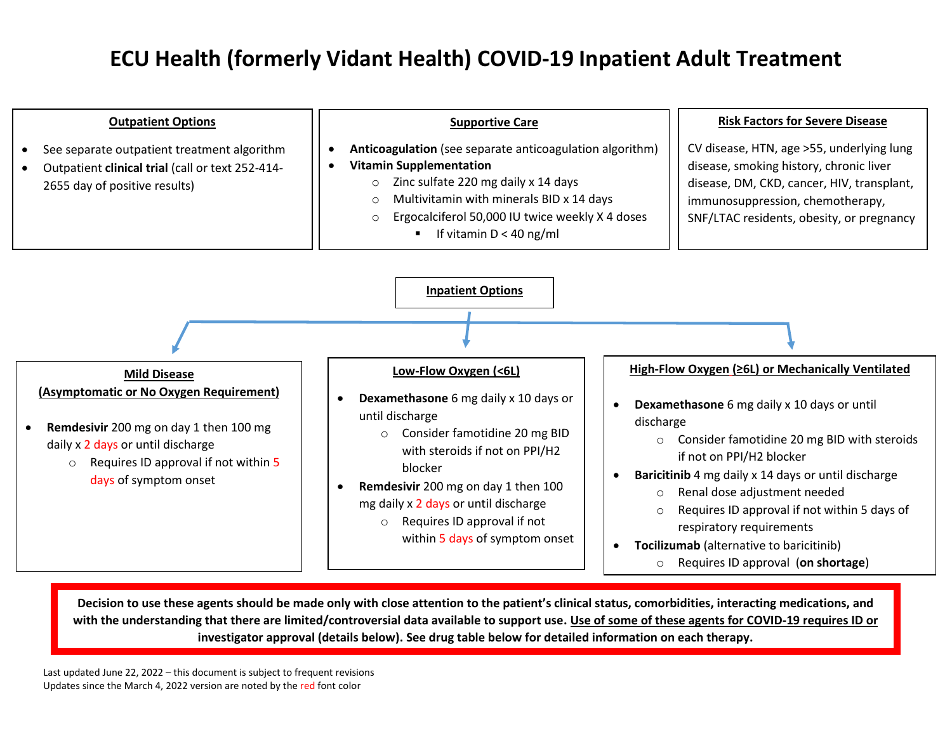

**Decision to use these agents should be made only with close attention to the patient's clinical status, comorbidities, interacting medications, and with the understanding that there are limited/controversial data available to support use. Use of some of these agents for COVID-19 requires ID or investigator approval (details below). See drug table below for detailed information on each therapy.**

Last updated June 22, 2022 – this document is subject to frequent revisions Updates since the March 4, 2022 version are noted by the red font color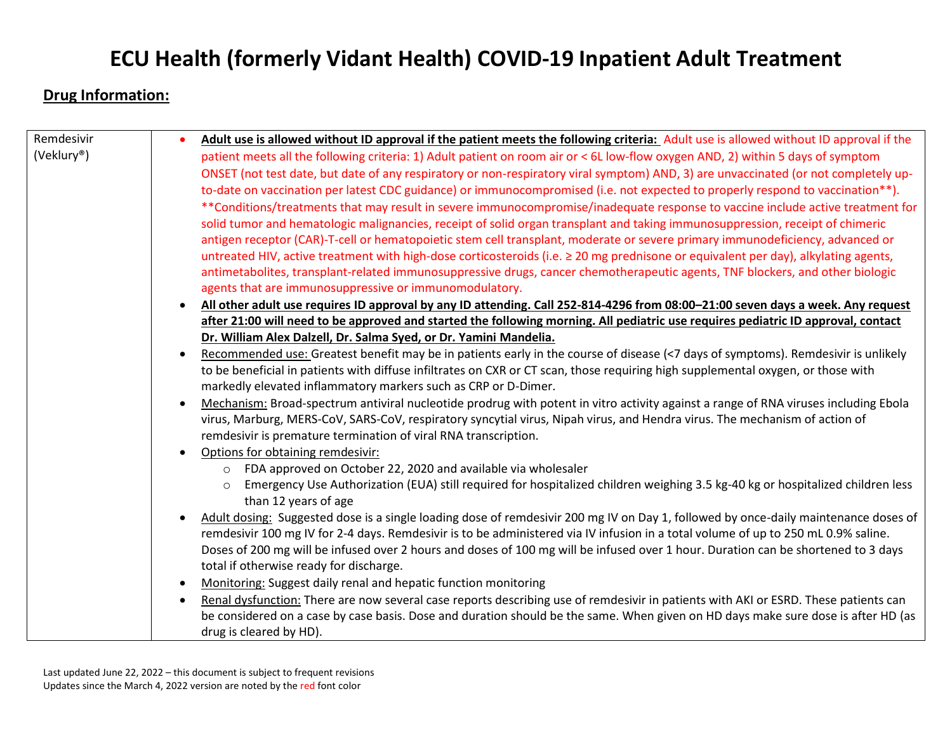### **Drug Information:**

| Remdesivir | Adult use is allowed without ID approval if the patient meets the following criteria: Adult use is allowed without ID approval if the                                                         |
|------------|-----------------------------------------------------------------------------------------------------------------------------------------------------------------------------------------------|
| (Veklury®) | patient meets all the following criteria: 1) Adult patient on room air or < 6L low-flow oxygen AND, 2) within 5 days of symptom                                                               |
|            | ONSET (not test date, but date of any respiratory or non-respiratory viral symptom) AND, 3) are unvaccinated (or not completely up-                                                           |
|            | to-date on vaccination per latest CDC guidance) or immunocompromised (i.e. not expected to properly respond to vaccination**).                                                                |
|            | **Conditions/treatments that may result in severe immunocompromise/inadequate response to vaccine include active treatment for                                                                |
|            | solid tumor and hematologic malignancies, receipt of solid organ transplant and taking immunosuppression, receipt of chimeric                                                                 |
|            | antigen receptor (CAR)-T-cell or hematopoietic stem cell transplant, moderate or severe primary immunodeficiency, advanced or                                                                 |
|            | untreated HIV, active treatment with high-dose corticosteroids (i.e. ≥ 20 mg prednisone or equivalent per day), alkylating agents,                                                            |
|            | antimetabolites, transplant-related immunosuppressive drugs, cancer chemotherapeutic agents, TNF blockers, and other biologic                                                                 |
|            | agents that are immunosuppressive or immunomodulatory.                                                                                                                                        |
|            | All other adult use requires ID approval by any ID attending. Call 252-814-4296 from 08:00-21:00 seven days a week. Any request<br>$\bullet$                                                  |
|            | after 21:00 will need to be approved and started the following morning. All pediatric use requires pediatric ID approval, contact                                                             |
|            | Dr. William Alex Dalzell, Dr. Salma Syed, or Dr. Yamini Mandelia.                                                                                                                             |
|            | Recommended use: Greatest benefit may be in patients early in the course of disease (<7 days of symptoms). Remdesivir is unlikely<br>$\bullet$                                                |
|            | to be beneficial in patients with diffuse infiltrates on CXR or CT scan, those requiring high supplemental oxygen, or those with                                                              |
|            | markedly elevated inflammatory markers such as CRP or D-Dimer.                                                                                                                                |
|            | Mechanism: Broad-spectrum antiviral nucleotide prodrug with potent in vitro activity against a range of RNA viruses including Ebola                                                           |
|            | virus, Marburg, MERS-CoV, SARS-CoV, respiratory syncytial virus, Nipah virus, and Hendra virus. The mechanism of action of<br>remdesivir is premature termination of viral RNA transcription. |
|            | Options for obtaining remdesivir:                                                                                                                                                             |
|            | FDA approved on October 22, 2020 and available via wholesaler<br>$\circ$                                                                                                                      |
|            | Emergency Use Authorization (EUA) still required for hospitalized children weighing 3.5 kg-40 kg or hospitalized children less                                                                |
|            | than 12 years of age                                                                                                                                                                          |
|            | Adult dosing: Suggested dose is a single loading dose of remdesivir 200 mg IV on Day 1, followed by once-daily maintenance doses of                                                           |
|            | remdesivir 100 mg IV for 2-4 days. Remdesivir is to be administered via IV infusion in a total volume of up to 250 mL 0.9% saline.                                                            |
|            | Doses of 200 mg will be infused over 2 hours and doses of 100 mg will be infused over 1 hour. Duration can be shortened to 3 days                                                             |
|            | total if otherwise ready for discharge.                                                                                                                                                       |
|            | Monitoring: Suggest daily renal and hepatic function monitoring                                                                                                                               |
|            | Renal dysfunction: There are now several case reports describing use of remdesivir in patients with AKI or ESRD. These patients can<br>٠                                                      |
|            | be considered on a case by case basis. Dose and duration should be the same. When given on HD days make sure dose is after HD (as                                                             |
|            | drug is cleared by HD).                                                                                                                                                                       |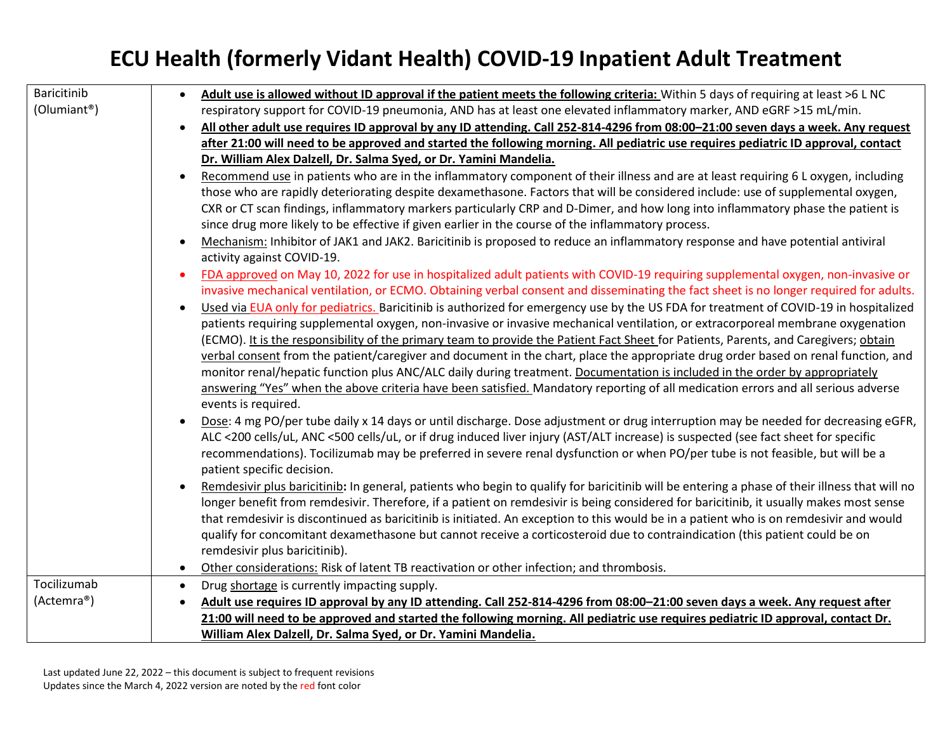| Baricitinib<br>(Olumiant <sup>®</sup> ) | Adult use is allowed without ID approval if the patient meets the following criteria: Within 5 days of requiring at least >6 L NC<br>$\bullet$<br>respiratory support for COVID-19 pneumonia, AND has at least one elevated inflammatory marker, AND eGRF >15 mL/min.<br>All other adult use requires ID approval by any ID attending. Call 252-814-4296 from 08:00-21:00 seven days a week. Any request<br>after 21:00 will need to be approved and started the following morning. All pediatric use requires pediatric ID approval, contact<br>Dr. William Alex Dalzell, Dr. Salma Syed, or Dr. Yamini Mandelia.<br>Recommend use in patients who are in the inflammatory component of their illness and are at least requiring 6 L oxygen, including<br>$\bullet$<br>those who are rapidly deteriorating despite dexamethasone. Factors that will be considered include: use of supplemental oxygen,<br>CXR or CT scan findings, inflammatory markers particularly CRP and D-Dimer, and how long into inflammatory phase the patient is<br>since drug more likely to be effective if given earlier in the course of the inflammatory process.<br>Mechanism: Inhibitor of JAK1 and JAK2. Baricitinib is proposed to reduce an inflammatory response and have potential antiviral<br>$\bullet$<br>activity against COVID-19.<br>FDA approved on May 10, 2022 for use in hospitalized adult patients with COVID-19 requiring supplemental oxygen, non-invasive or<br>$\bullet$<br>invasive mechanical ventilation, or ECMO. Obtaining verbal consent and disseminating the fact sheet is no longer required for adults.<br>Used via EUA only for pediatrics. Baricitinib is authorized for emergency use by the US FDA for treatment of COVID-19 in hospitalized<br>patients requiring supplemental oxygen, non-invasive or invasive mechanical ventilation, or extracorporeal membrane oxygenation<br>(ECMO). It is the responsibility of the primary team to provide the Patient Fact Sheet for Patients, Parents, and Caregivers; obtain<br>verbal consent from the patient/caregiver and document in the chart, place the appropriate drug order based on renal function, and<br>monitor renal/hepatic function plus ANC/ALC daily during treatment. Documentation is included in the order by appropriately<br>answering "Yes" when the above criteria have been satisfied. Mandatory reporting of all medication errors and all serious adverse<br>events is required.<br>Dose: 4 mg PO/per tube daily x 14 days or until discharge. Dose adjustment or drug interruption may be needed for decreasing eGFR,<br>ALC <200 cells/uL, ANC <500 cells/uL, or if drug induced liver injury (AST/ALT increase) is suspected (see fact sheet for specific<br>recommendations). Tocilizumab may be preferred in severe renal dysfunction or when PO/per tube is not feasible, but will be a<br>patient specific decision. |
|-----------------------------------------|-------------------------------------------------------------------------------------------------------------------------------------------------------------------------------------------------------------------------------------------------------------------------------------------------------------------------------------------------------------------------------------------------------------------------------------------------------------------------------------------------------------------------------------------------------------------------------------------------------------------------------------------------------------------------------------------------------------------------------------------------------------------------------------------------------------------------------------------------------------------------------------------------------------------------------------------------------------------------------------------------------------------------------------------------------------------------------------------------------------------------------------------------------------------------------------------------------------------------------------------------------------------------------------------------------------------------------------------------------------------------------------------------------------------------------------------------------------------------------------------------------------------------------------------------------------------------------------------------------------------------------------------------------------------------------------------------------------------------------------------------------------------------------------------------------------------------------------------------------------------------------------------------------------------------------------------------------------------------------------------------------------------------------------------------------------------------------------------------------------------------------------------------------------------------------------------------------------------------------------------------------------------------------------------------------------------------------------------------------------------------------------------------------------------------------------------------------------------------------------------------------------------------------------------------------------------------------------------------------------------------------------------------------------------------------------------------------------------------------------------------------------------------------------------------------------------------------------------------------------------------------------------------------------------------|
|                                         |                                                                                                                                                                                                                                                                                                                                                                                                                                                                                                                                                                                                                                                                                                                                                                                                                                                                                                                                                                                                                                                                                                                                                                                                                                                                                                                                                                                                                                                                                                                                                                                                                                                                                                                                                                                                                                                                                                                                                                                                                                                                                                                                                                                                                                                                                                                                                                                                                                                                                                                                                                                                                                                                                                                                                                                                                                                                                                                         |
|                                         | Remdesivir plus baricitinib: In general, patients who begin to qualify for baricitinib will be entering a phase of their illness that will no<br>longer benefit from remdesivir. Therefore, if a patient on remdesivir is being considered for baricitinib, it usually makes most sense<br>that remdesivir is discontinued as baricitinib is initiated. An exception to this would be in a patient who is on remdesivir and would<br>qualify for concomitant dexamethasone but cannot receive a corticosteroid due to contraindication (this patient could be on<br>remdesivir plus baricitinib).                                                                                                                                                                                                                                                                                                                                                                                                                                                                                                                                                                                                                                                                                                                                                                                                                                                                                                                                                                                                                                                                                                                                                                                                                                                                                                                                                                                                                                                                                                                                                                                                                                                                                                                                                                                                                                                                                                                                                                                                                                                                                                                                                                                                                                                                                                                       |
| Tocilizumab                             | Other considerations: Risk of latent TB reactivation or other infection; and thrombosis.<br>$\bullet$<br>Drug shortage is currently impacting supply.<br>$\bullet$                                                                                                                                                                                                                                                                                                                                                                                                                                                                                                                                                                                                                                                                                                                                                                                                                                                                                                                                                                                                                                                                                                                                                                                                                                                                                                                                                                                                                                                                                                                                                                                                                                                                                                                                                                                                                                                                                                                                                                                                                                                                                                                                                                                                                                                                                                                                                                                                                                                                                                                                                                                                                                                                                                                                                      |
| (Actemra®)                              | Adult use requires ID approval by any ID attending. Call 252-814-4296 from 08:00-21:00 seven days a week. Any request after<br>$\bullet$                                                                                                                                                                                                                                                                                                                                                                                                                                                                                                                                                                                                                                                                                                                                                                                                                                                                                                                                                                                                                                                                                                                                                                                                                                                                                                                                                                                                                                                                                                                                                                                                                                                                                                                                                                                                                                                                                                                                                                                                                                                                                                                                                                                                                                                                                                                                                                                                                                                                                                                                                                                                                                                                                                                                                                                |
|                                         | 21:00 will need to be approved and started the following morning. All pediatric use requires pediatric ID approval, contact Dr.                                                                                                                                                                                                                                                                                                                                                                                                                                                                                                                                                                                                                                                                                                                                                                                                                                                                                                                                                                                                                                                                                                                                                                                                                                                                                                                                                                                                                                                                                                                                                                                                                                                                                                                                                                                                                                                                                                                                                                                                                                                                                                                                                                                                                                                                                                                                                                                                                                                                                                                                                                                                                                                                                                                                                                                         |
|                                         | William Alex Dalzell, Dr. Salma Syed, or Dr. Yamini Mandelia.                                                                                                                                                                                                                                                                                                                                                                                                                                                                                                                                                                                                                                                                                                                                                                                                                                                                                                                                                                                                                                                                                                                                                                                                                                                                                                                                                                                                                                                                                                                                                                                                                                                                                                                                                                                                                                                                                                                                                                                                                                                                                                                                                                                                                                                                                                                                                                                                                                                                                                                                                                                                                                                                                                                                                                                                                                                           |
|                                         |                                                                                                                                                                                                                                                                                                                                                                                                                                                                                                                                                                                                                                                                                                                                                                                                                                                                                                                                                                                                                                                                                                                                                                                                                                                                                                                                                                                                                                                                                                                                                                                                                                                                                                                                                                                                                                                                                                                                                                                                                                                                                                                                                                                                                                                                                                                                                                                                                                                                                                                                                                                                                                                                                                                                                                                                                                                                                                                         |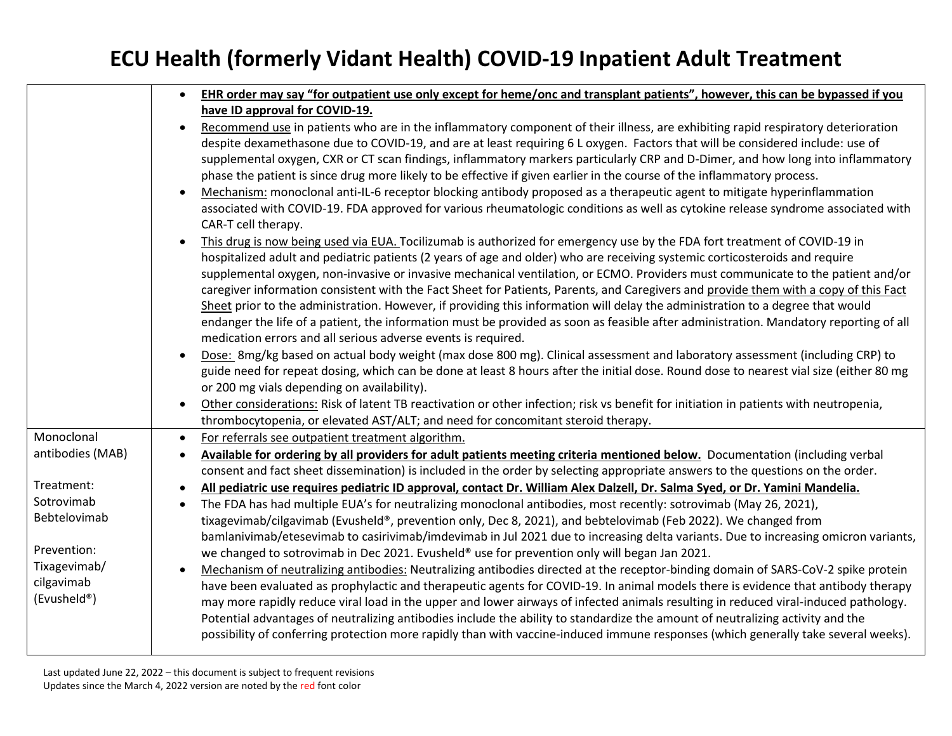|                  | $\bullet$ | EHR order may say "for outpatient use only except for heme/onc and transplant patients", however, this can be bypassed if you                                                                                                                                        |
|------------------|-----------|----------------------------------------------------------------------------------------------------------------------------------------------------------------------------------------------------------------------------------------------------------------------|
|                  |           | have ID approval for COVID-19.                                                                                                                                                                                                                                       |
|                  |           | Recommend use in patients who are in the inflammatory component of their illness, are exhibiting rapid respiratory deterioration                                                                                                                                     |
|                  |           | despite dexamethasone due to COVID-19, and are at least requiring 6 L oxygen. Factors that will be considered include: use of                                                                                                                                        |
|                  |           | supplemental oxygen, CXR or CT scan findings, inflammatory markers particularly CRP and D-Dimer, and how long into inflammatory                                                                                                                                      |
|                  |           | phase the patient is since drug more likely to be effective if given earlier in the course of the inflammatory process.                                                                                                                                              |
|                  |           | Mechanism: monoclonal anti-IL-6 receptor blocking antibody proposed as a therapeutic agent to mitigate hyperinflammation                                                                                                                                             |
|                  |           | associated with COVID-19. FDA approved for various rheumatologic conditions as well as cytokine release syndrome associated with                                                                                                                                     |
|                  |           | CAR-T cell therapy.                                                                                                                                                                                                                                                  |
|                  |           | This drug is now being used via EUA. Tocilizumab is authorized for emergency use by the FDA fort treatment of COVID-19 in                                                                                                                                            |
|                  |           | hospitalized adult and pediatric patients (2 years of age and older) who are receiving systemic corticosteroids and require                                                                                                                                          |
|                  |           | supplemental oxygen, non-invasive or invasive mechanical ventilation, or ECMO. Providers must communicate to the patient and/or                                                                                                                                      |
|                  |           | caregiver information consistent with the Fact Sheet for Patients, Parents, and Caregivers and provide them with a copy of this Fact                                                                                                                                 |
|                  |           | Sheet prior to the administration. However, if providing this information will delay the administration to a degree that would                                                                                                                                       |
|                  |           | endanger the life of a patient, the information must be provided as soon as feasible after administration. Mandatory reporting of all                                                                                                                                |
|                  |           | medication errors and all serious adverse events is required.                                                                                                                                                                                                        |
|                  |           | Dose: 8mg/kg based on actual body weight (max dose 800 mg). Clinical assessment and laboratory assessment (including CRP) to                                                                                                                                         |
|                  |           | guide need for repeat dosing, which can be done at least 8 hours after the initial dose. Round dose to nearest vial size (either 80 mg                                                                                                                               |
|                  |           | or 200 mg vials depending on availability).                                                                                                                                                                                                                          |
|                  |           | Other considerations: Risk of latent TB reactivation or other infection; risk vs benefit for initiation in patients with neutropenia,                                                                                                                                |
|                  |           | thrombocytopenia, or elevated AST/ALT; and need for concomitant steroid therapy.                                                                                                                                                                                     |
| Monoclonal       | $\bullet$ | For referrals see outpatient treatment algorithm.                                                                                                                                                                                                                    |
| antibodies (MAB) | $\bullet$ | Available for ordering by all providers for adult patients meeting criteria mentioned below. Documentation (including verbal                                                                                                                                         |
|                  |           | consent and fact sheet dissemination) is included in the order by selecting appropriate answers to the questions on the order.                                                                                                                                       |
| Treatment:       |           | All pediatric use requires pediatric ID approval, contact Dr. William Alex Dalzell, Dr. Salma Syed, or Dr. Yamini Mandelia.                                                                                                                                          |
| Sotrovimab       |           | The FDA has had multiple EUA's for neutralizing monoclonal antibodies, most recently: sotrovimab (May 26, 2021),                                                                                                                                                     |
| Bebtelovimab     |           | tixagevimab/cilgavimab (Evusheld®, prevention only, Dec 8, 2021), and bebtelovimab (Feb 2022). We changed from                                                                                                                                                       |
| Prevention:      |           | bamlanivimab/etesevimab to casirivimab/imdevimab in Jul 2021 due to increasing delta variants. Due to increasing omicron variants,                                                                                                                                   |
| Tixagevimab/     |           | we changed to sotrovimab in Dec 2021. Evusheld® use for prevention only will began Jan 2021.                                                                                                                                                                         |
| cilgavimab       |           | Mechanism of neutralizing antibodies: Neutralizing antibodies directed at the receptor-binding domain of SARS-CoV-2 spike protein                                                                                                                                    |
| (Evusheld®)      |           | have been evaluated as prophylactic and therapeutic agents for COVID-19. In animal models there is evidence that antibody therapy                                                                                                                                    |
|                  |           | may more rapidly reduce viral load in the upper and lower airways of infected animals resulting in reduced viral-induced pathology.                                                                                                                                  |
|                  |           | Potential advantages of neutralizing antibodies include the ability to standardize the amount of neutralizing activity and the<br>possibility of conferring protection more rapidly than with vaccine-induced immune responses (which generally take several weeks). |
|                  |           |                                                                                                                                                                                                                                                                      |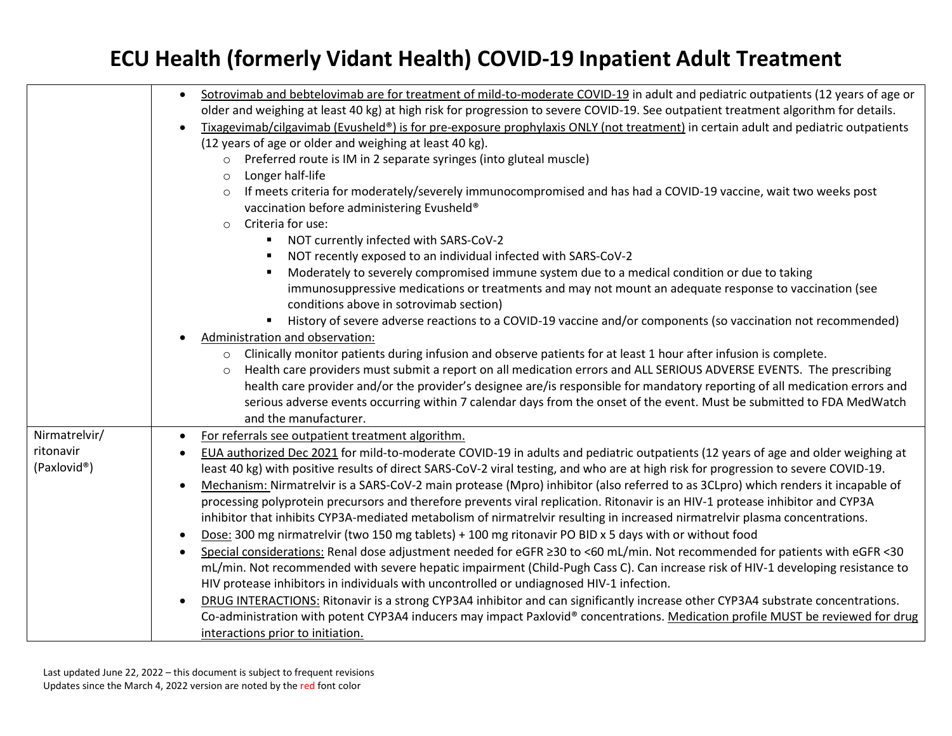|                            | Sotrovimab and bebtelovimab are for treatment of mild-to-moderate COVID-19 in adult and pediatric outpatients (12 years of age or<br>$\bullet$<br>older and weighing at least 40 kg) at high risk for progression to severe COVID-19. See outpatient treatment algorithm for details.<br>Tixagevimab/cilgavimab (Evusheld®) is for pre-exposure prophylaxis ONLY (not treatment) in certain adult and pediatric outpatients<br>(12 years of age or older and weighing at least 40 kg).<br>Preferred route is IM in 2 separate syringes (into gluteal muscle)<br>$\circ$<br>Longer half-life<br>$\circ$<br>If meets criteria for moderately/severely immunocompromised and has had a COVID-19 vaccine, wait two weeks post<br>vaccination before administering Evusheld®<br>Criteria for use:<br>$\circ$<br>NOT currently infected with SARS-CoV-2<br>٠<br>NOT recently exposed to an individual infected with SARS-CoV-2<br>$\blacksquare$<br>Moderately to severely compromised immune system due to a medical condition or due to taking<br>$\blacksquare$<br>immunosuppressive medications or treatments and may not mount an adequate response to vaccination (see<br>conditions above in sotrovimab section)<br>History of severe adverse reactions to a COVID-19 vaccine and/or components (so vaccination not recommended)<br>Administration and observation:<br>Clinically monitor patients during infusion and observe patients for at least 1 hour after infusion is complete.<br>$\circ$<br>Health care providers must submit a report on all medication errors and ALL SERIOUS ADVERSE EVENTS. The prescribing<br>$\circ$<br>health care provider and/or the provider's designee are/is responsible for mandatory reporting of all medication errors and<br>serious adverse events occurring within 7 calendar days from the onset of the event. Must be submitted to FDA MedWatch<br>and the manufacturer. |
|----------------------------|-------------------------------------------------------------------------------------------------------------------------------------------------------------------------------------------------------------------------------------------------------------------------------------------------------------------------------------------------------------------------------------------------------------------------------------------------------------------------------------------------------------------------------------------------------------------------------------------------------------------------------------------------------------------------------------------------------------------------------------------------------------------------------------------------------------------------------------------------------------------------------------------------------------------------------------------------------------------------------------------------------------------------------------------------------------------------------------------------------------------------------------------------------------------------------------------------------------------------------------------------------------------------------------------------------------------------------------------------------------------------------------------------------------------------------------------------------------------------------------------------------------------------------------------------------------------------------------------------------------------------------------------------------------------------------------------------------------------------------------------------------------------------------------------------------------------------------------------------------------------------------------------------------------------------|
| Nirmatrelvir/<br>ritonavir | For referrals see outpatient treatment algorithm.<br>$\bullet$<br>EUA authorized Dec 2021 for mild-to-moderate COVID-19 in adults and pediatric outpatients (12 years of age and older weighing at                                                                                                                                                                                                                                                                                                                                                                                                                                                                                                                                                                                                                                                                                                                                                                                                                                                                                                                                                                                                                                                                                                                                                                                                                                                                                                                                                                                                                                                                                                                                                                                                                                                                                                                      |
| (Paxlovid®)                | least 40 kg) with positive results of direct SARS-CoV-2 viral testing, and who are at high risk for progression to severe COVID-19.<br>Mechanism: Nirmatrelvir is a SARS-CoV-2 main protease (Mpro) inhibitor (also referred to as 3CLpro) which renders it incapable of<br>processing polyprotein precursors and therefore prevents viral replication. Ritonavir is an HIV-1 protease inhibitor and CYP3A<br>inhibitor that inhibits CYP3A-mediated metabolism of nirmatrelvir resulting in increased nirmatrelvir plasma concentrations.<br>Dose: 300 mg nirmatrelvir (two 150 mg tablets) + 100 mg ritonavir PO BID x 5 days with or without food<br>Special considerations: Renal dose adjustment needed for eGFR ≥30 to <60 mL/min. Not recommended for patients with eGFR <30<br>$\bullet$<br>mL/min. Not recommended with severe hepatic impairment (Child-Pugh Cass C). Can increase risk of HIV-1 developing resistance to<br>HIV protease inhibitors in individuals with uncontrolled or undiagnosed HIV-1 infection.<br>DRUG INTERACTIONS: Ritonavir is a strong CYP3A4 inhibitor and can significantly increase other CYP3A4 substrate concentrations.<br>Co-administration with potent CYP3A4 inducers may impact Paxlovid® concentrations. Medication profile MUST be reviewed for drug<br>interactions prior to initiation.                                                                                                                                                                                                                                                                                                                                                                                                                                                                                                                                                                              |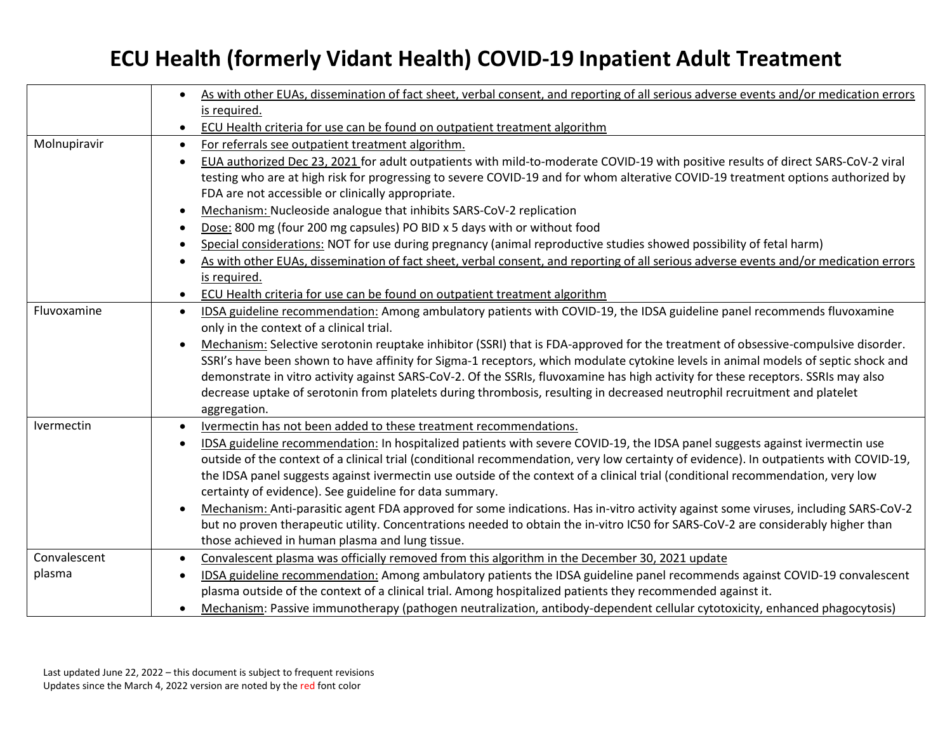|              | As with other EUAs, dissemination of fact sheet, verbal consent, and reporting of all serious adverse events and/or medication errors     |
|--------------|-------------------------------------------------------------------------------------------------------------------------------------------|
|              | is required.                                                                                                                              |
|              | ECU Health criteria for use can be found on outpatient treatment algorithm<br>$\bullet$                                                   |
| Molnupiravir | For referrals see outpatient treatment algorithm.<br>$\bullet$                                                                            |
|              | EUA authorized Dec 23, 2021 for adult outpatients with mild-to-moderate COVID-19 with positive results of direct SARS-CoV-2 viral         |
|              | testing who are at high risk for progressing to severe COVID-19 and for whom alterative COVID-19 treatment options authorized by          |
|              | FDA are not accessible or clinically appropriate.                                                                                         |
|              | Mechanism: Nucleoside analogue that inhibits SARS-CoV-2 replication                                                                       |
|              | Dose: 800 mg (four 200 mg capsules) PO BID x 5 days with or without food                                                                  |
|              | Special considerations: NOT for use during pregnancy (animal reproductive studies showed possibility of fetal harm)                       |
|              | As with other EUAs, dissemination of fact sheet, verbal consent, and reporting of all serious adverse events and/or medication errors     |
|              | is required.                                                                                                                              |
|              | ECU Health criteria for use can be found on outpatient treatment algorithm<br>$\bullet$                                                   |
| Fluvoxamine  | IDSA guideline recommendation: Among ambulatory patients with COVID-19, the IDSA guideline panel recommends fluvoxamine<br>$\bullet$      |
|              | only in the context of a clinical trial.                                                                                                  |
|              | Mechanism: Selective serotonin reuptake inhibitor (SSRI) that is FDA-approved for the treatment of obsessive-compulsive disorder.         |
|              | SSRI's have been shown to have affinity for Sigma-1 receptors, which modulate cytokine levels in animal models of septic shock and        |
|              | demonstrate in vitro activity against SARS-CoV-2. Of the SSRIs, fluvoxamine has high activity for these receptors. SSRIs may also         |
|              | decrease uptake of serotonin from platelets during thrombosis, resulting in decreased neutrophil recruitment and platelet                 |
|              | aggregation.                                                                                                                              |
| Ivermectin   | Ivermectin has not been added to these treatment recommendations.                                                                         |
|              | IDSA guideline recommendation: In hospitalized patients with severe COVID-19, the IDSA panel suggests against ivermectin use<br>$\bullet$ |
|              | outside of the context of a clinical trial (conditional recommendation, very low certainty of evidence). In outpatients with COVID-19,    |
|              | the IDSA panel suggests against ivermectin use outside of the context of a clinical trial (conditional recommendation, very low           |
|              | certainty of evidence). See guideline for data summary.                                                                                   |
|              | Mechanism: Anti-parasitic agent FDA approved for some indications. Has in-vitro activity against some viruses, including SARS-CoV-2       |
|              | but no proven therapeutic utility. Concentrations needed to obtain the in-vitro IC50 for SARS-CoV-2 are considerably higher than          |
|              | those achieved in human plasma and lung tissue.                                                                                           |
| Convalescent | Convalescent plasma was officially removed from this algorithm in the December 30, 2021 update<br>$\bullet$                               |
| plasma       | IDSA guideline recommendation: Among ambulatory patients the IDSA guideline panel recommends against COVID-19 convalescent<br>$\bullet$   |
|              | plasma outside of the context of a clinical trial. Among hospitalized patients they recommended against it.                               |
|              | Mechanism: Passive immunotherapy (pathogen neutralization, antibody-dependent cellular cytotoxicity, enhanced phagocytosis)               |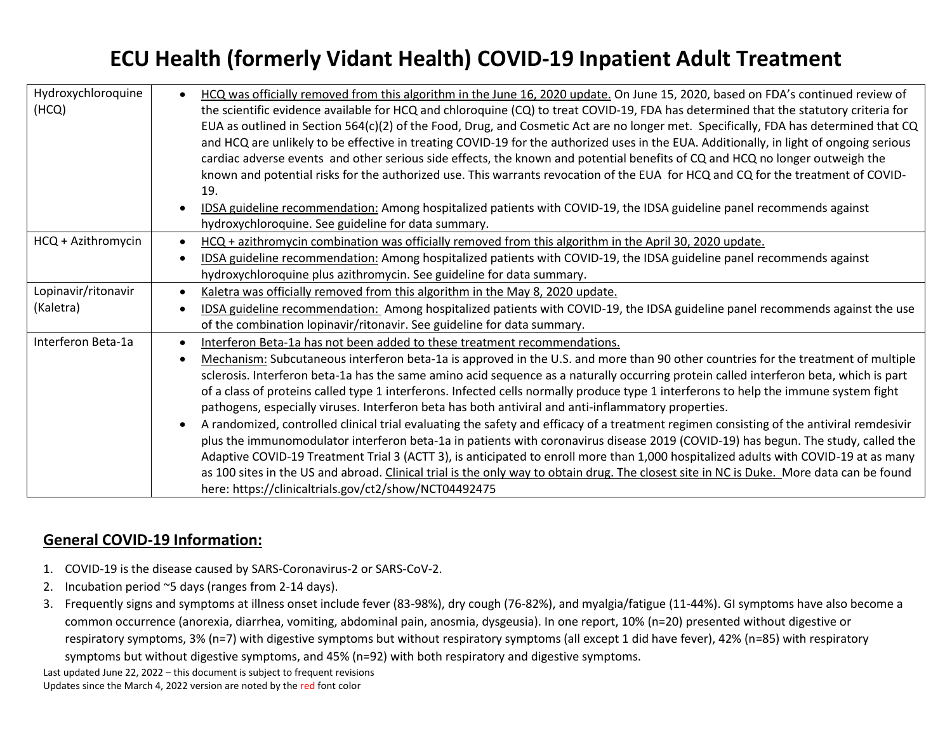| Hydroxychloroquine<br>(HCQ) | HCQ was officially removed from this algorithm in the June 16, 2020 update. On June 15, 2020, based on FDA's continued review of<br>the scientific evidence available for HCQ and chloroquine (CQ) to treat COVID-19, FDA has determined that the statutory criteria for<br>EUA as outlined in Section 564(c)(2) of the Food, Drug, and Cosmetic Act are no longer met. Specifically, FDA has determined that CQ<br>and HCQ are unlikely to be effective in treating COVID-19 for the authorized uses in the EUA. Additionally, in light of ongoing serious<br>cardiac adverse events and other serious side effects, the known and potential benefits of CQ and HCQ no longer outweigh the<br>known and potential risks for the authorized use. This warrants revocation of the EUA for HCQ and CQ for the treatment of COVID-<br>19.<br>IDSA guideline recommendation: Among hospitalized patients with COVID-19, the IDSA guideline panel recommends against<br>hydroxychloroquine. See guideline for data summary. |
|-----------------------------|------------------------------------------------------------------------------------------------------------------------------------------------------------------------------------------------------------------------------------------------------------------------------------------------------------------------------------------------------------------------------------------------------------------------------------------------------------------------------------------------------------------------------------------------------------------------------------------------------------------------------------------------------------------------------------------------------------------------------------------------------------------------------------------------------------------------------------------------------------------------------------------------------------------------------------------------------------------------------------------------------------------------|
| HCQ + Azithromycin          | HCQ + azithromycin combination was officially removed from this algorithm in the April 30, 2020 update.                                                                                                                                                                                                                                                                                                                                                                                                                                                                                                                                                                                                                                                                                                                                                                                                                                                                                                                |
|                             | IDSA guideline recommendation: Among hospitalized patients with COVID-19, the IDSA guideline panel recommends against                                                                                                                                                                                                                                                                                                                                                                                                                                                                                                                                                                                                                                                                                                                                                                                                                                                                                                  |
|                             |                                                                                                                                                                                                                                                                                                                                                                                                                                                                                                                                                                                                                                                                                                                                                                                                                                                                                                                                                                                                                        |
|                             | hydroxychloroquine plus azithromycin. See guideline for data summary.                                                                                                                                                                                                                                                                                                                                                                                                                                                                                                                                                                                                                                                                                                                                                                                                                                                                                                                                                  |
| Lopinavir/ritonavir         | Kaletra was officially removed from this algorithm in the May 8, 2020 update.                                                                                                                                                                                                                                                                                                                                                                                                                                                                                                                                                                                                                                                                                                                                                                                                                                                                                                                                          |
| (Kaletra)                   | IDSA guideline recommendation: Among hospitalized patients with COVID-19, the IDSA guideline panel recommends against the use                                                                                                                                                                                                                                                                                                                                                                                                                                                                                                                                                                                                                                                                                                                                                                                                                                                                                          |
|                             | of the combination lopinavir/ritonavir. See guideline for data summary.                                                                                                                                                                                                                                                                                                                                                                                                                                                                                                                                                                                                                                                                                                                                                                                                                                                                                                                                                |
| Interferon Beta-1a          | Interferon Beta-1a has not been added to these treatment recommendations.                                                                                                                                                                                                                                                                                                                                                                                                                                                                                                                                                                                                                                                                                                                                                                                                                                                                                                                                              |
|                             | Mechanism: Subcutaneous interferon beta-1a is approved in the U.S. and more than 90 other countries for the treatment of multiple                                                                                                                                                                                                                                                                                                                                                                                                                                                                                                                                                                                                                                                                                                                                                                                                                                                                                      |
|                             | sclerosis. Interferon beta-1a has the same amino acid sequence as a naturally occurring protein called interferon beta, which is part                                                                                                                                                                                                                                                                                                                                                                                                                                                                                                                                                                                                                                                                                                                                                                                                                                                                                  |
|                             | of a class of proteins called type 1 interferons. Infected cells normally produce type 1 interferons to help the immune system fight                                                                                                                                                                                                                                                                                                                                                                                                                                                                                                                                                                                                                                                                                                                                                                                                                                                                                   |
|                             | pathogens, especially viruses. Interferon beta has both antiviral and anti-inflammatory properties.                                                                                                                                                                                                                                                                                                                                                                                                                                                                                                                                                                                                                                                                                                                                                                                                                                                                                                                    |
|                             | A randomized, controlled clinical trial evaluating the safety and efficacy of a treatment regimen consisting of the antiviral remdesivir                                                                                                                                                                                                                                                                                                                                                                                                                                                                                                                                                                                                                                                                                                                                                                                                                                                                               |
|                             | plus the immunomodulator interferon beta-1a in patients with coronavirus disease 2019 (COVID-19) has begun. The study, called the                                                                                                                                                                                                                                                                                                                                                                                                                                                                                                                                                                                                                                                                                                                                                                                                                                                                                      |
|                             | Adaptive COVID-19 Treatment Trial 3 (ACTT 3), is anticipated to enroll more than 1,000 hospitalized adults with COVID-19 at as many                                                                                                                                                                                                                                                                                                                                                                                                                                                                                                                                                                                                                                                                                                                                                                                                                                                                                    |
|                             | as 100 sites in the US and abroad. Clinical trial is the only way to obtain drug. The closest site in NC is Duke. More data can be found                                                                                                                                                                                                                                                                                                                                                                                                                                                                                                                                                                                                                                                                                                                                                                                                                                                                               |
|                             |                                                                                                                                                                                                                                                                                                                                                                                                                                                                                                                                                                                                                                                                                                                                                                                                                                                                                                                                                                                                                        |
|                             | here: https://clinicaltrials.gov/ct2/show/NCT04492475                                                                                                                                                                                                                                                                                                                                                                                                                                                                                                                                                                                                                                                                                                                                                                                                                                                                                                                                                                  |

#### **General COVID-19 Information:**

- 1. COVID-19 is the disease caused by SARS-Coronavirus-2 or SARS-CoV-2.
- 2. Incubation period ~5 days (ranges from 2-14 days).
- 3. Frequently signs and symptoms at illness onset include fever (83-98%), dry cough (76-82%), and myalgia/fatigue (11-44%). GI symptoms have also become a common occurrence (anorexia, diarrhea, vomiting, abdominal pain, anosmia, dysgeusia). In one report, 10% (n=20) presented without digestive or respiratory symptoms, 3% (n=7) with digestive symptoms but without respiratory symptoms (all except 1 did have fever), 42% (n=85) with respiratory symptoms but without digestive symptoms, and 45% (n=92) with both respiratory and digestive symptoms.

Last updated June 22, 2022 – this document is subject to frequent revisions Updates since the March 4, 2022 version are noted by the red font color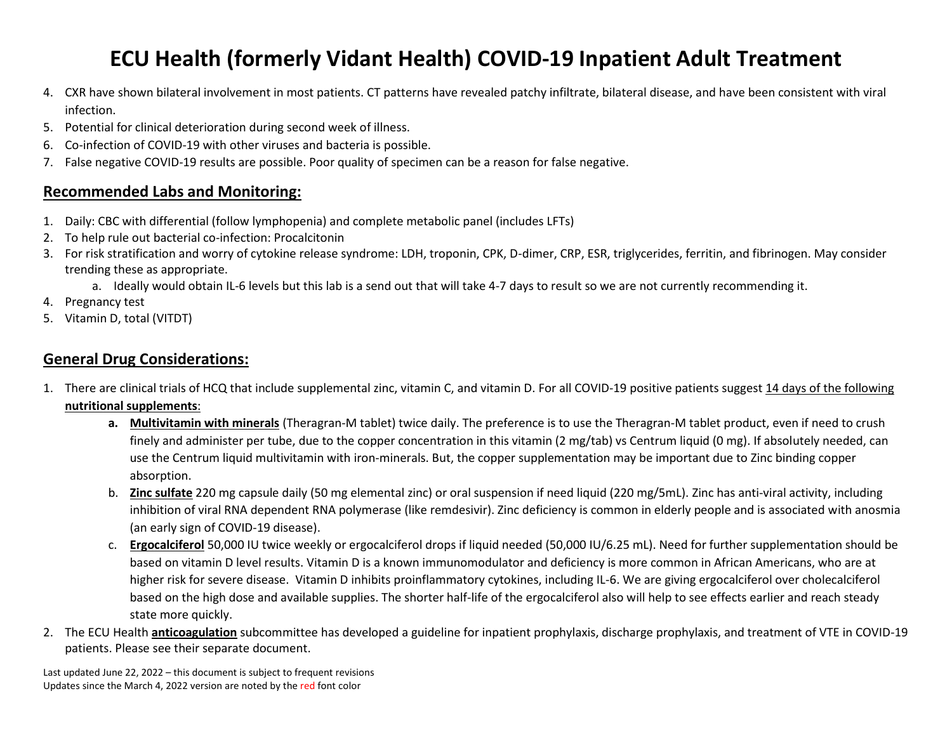- 4. CXR have shown bilateral involvement in most patients. CT patterns have revealed patchy infiltrate, bilateral disease, and have been consistent with viral infection.
- 5. Potential for clinical deterioration during second week of illness.
- 6. Co-infection of COVID-19 with other viruses and bacteria is possible.
- 7. False negative COVID-19 results are possible. Poor quality of specimen can be a reason for false negative.

#### **Recommended Labs and Monitoring:**

- 1. Daily: CBC with differential (follow lymphopenia) and complete metabolic panel (includes LFTs)
- 2. To help rule out bacterial co-infection: Procalcitonin
- 3. For risk stratification and worry of cytokine release syndrome: LDH, troponin, CPK, D-dimer, CRP, ESR, triglycerides, ferritin, and fibrinogen. May consider trending these as appropriate.

a. Ideally would obtain IL-6 levels but this lab is a send out that will take 4-7 days to result so we are not currently recommending it.

- 4. Pregnancy test
- 5. Vitamin D, total (VITDT)

#### **General Drug Considerations:**

- 1. There are clinical trials of HCQ that include supplemental zinc, vitamin C, and vitamin D. For all COVID-19 positive patients suggest 14 days of the following **nutritional supplements**:
	- **a. Multivitamin with minerals** (Theragran-M tablet) twice daily. The preference is to use the Theragran-M tablet product, even if need to crush finely and administer per tube, due to the copper concentration in this vitamin (2 mg/tab) vs Centrum liquid (0 mg). If absolutely needed, can use the Centrum liquid multivitamin with iron-minerals. But, the copper supplementation may be important due to Zinc binding copper absorption.
	- b. **Zinc sulfate** 220 mg capsule daily (50 mg elemental zinc) or oral suspension if need liquid (220 mg/5mL). Zinc has anti-viral activity, including inhibition of viral RNA dependent RNA polymerase (like remdesivir). Zinc deficiency is common in elderly people and is associated with anosmia (an early sign of COVID-19 disease).
	- c. **Ergocalciferol** 50,000 IU twice weekly or ergocalciferol drops if liquid needed (50,000 IU/6.25 mL). Need for further supplementation should be based on vitamin D level results. Vitamin D is a known immunomodulator and deficiency is more common in African Americans, who are at higher risk for severe disease. Vitamin D inhibits proinflammatory cytokines, including IL-6. We are giving ergocalciferol over cholecalciferol based on the high dose and available supplies. The shorter half-life of the ergocalciferol also will help to see effects earlier and reach steady state more quickly.
- 2. The ECU Health **anticoagulation** subcommittee has developed a guideline for inpatient prophylaxis, discharge prophylaxis, and treatment of VTE in COVID-19 patients. Please see their separate document.

Last updated June 22, 2022 – this document is subject to frequent revisions Updates since the March 4, 2022 version are noted by the red font color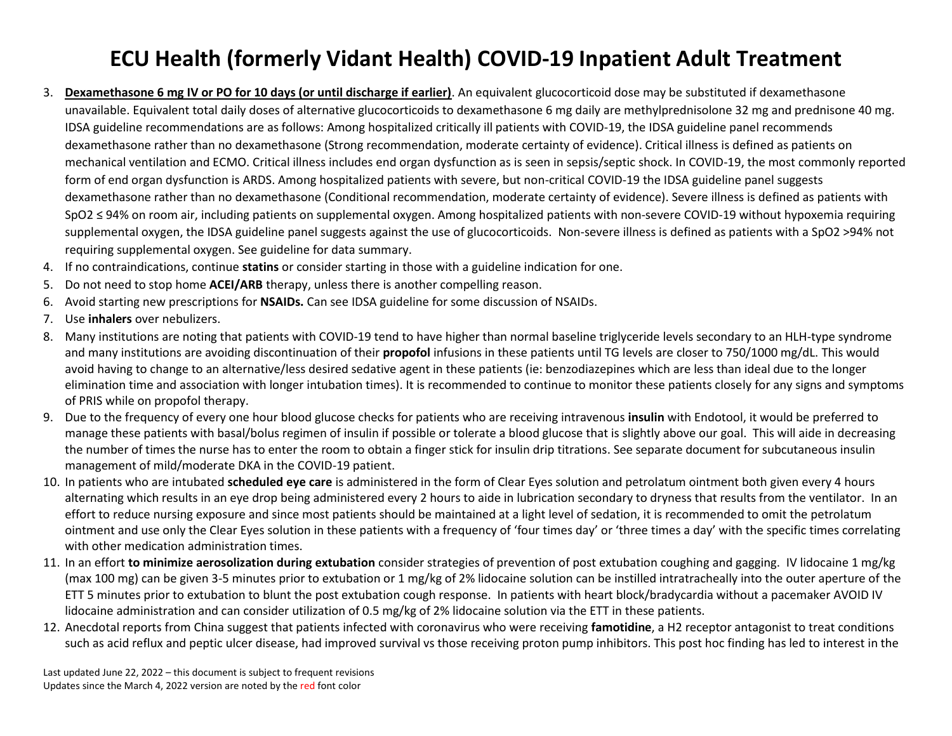- 3. **Dexamethasone 6 mg IV or PO for 10 days (or until discharge if earlier)**. An equivalent glucocorticoid dose may be substituted if dexamethasone unavailable. Equivalent total daily doses of alternative glucocorticoids to dexamethasone 6 mg daily are methylprednisolone 32 mg and prednisone 40 mg. IDSA guideline recommendations are as follows: Among hospitalized critically ill patients with COVID-19, the IDSA guideline panel recommends dexamethasone rather than no dexamethasone (Strong recommendation, moderate certainty of evidence). Critical illness is defined as patients on mechanical ventilation and ECMO. Critical illness includes end organ dysfunction as is seen in sepsis/septic shock. In COVID-19, the most commonly reported form of end organ dysfunction is ARDS. Among hospitalized patients with severe, but non-critical COVID-19 the IDSA guideline panel suggests dexamethasone rather than no dexamethasone (Conditional recommendation, moderate certainty of evidence). Severe illness is defined as patients with SpO2 ≤ 94% on room air, including patients on supplemental oxygen. Among hospitalized patients with non-severe COVID-19 without hypoxemia requiring supplemental oxygen, the IDSA guideline panel suggests against the use of glucocorticoids. Non-severe illness is defined as patients with a SpO2 >94% not requiring supplemental oxygen. See guideline for data summary.
- 4. If no contraindications, continue **statins** or consider starting in those with a guideline indication for one.
- 5. Do not need to stop home **ACEI/ARB** therapy, unless there is another compelling reason.
- 6. Avoid starting new prescriptions for **NSAIDs.** Can see IDSA guideline for some discussion of NSAIDs.
- 7. Use **inhalers** over nebulizers.
- 8. Many institutions are noting that patients with COVID-19 tend to have higher than normal baseline triglyceride levels secondary to an HLH-type syndrome and many institutions are avoiding discontinuation of their **propofol** infusions in these patients until TG levels are closer to 750/1000 mg/dL. This would avoid having to change to an alternative/less desired sedative agent in these patients (ie: benzodiazepines which are less than ideal due to the longer elimination time and association with longer intubation times). It is recommended to continue to monitor these patients closely for any signs and symptoms of PRIS while on propofol therapy.
- 9. Due to the frequency of every one hour blood glucose checks for patients who are receiving intravenous **insulin** with Endotool, it would be preferred to manage these patients with basal/bolus regimen of insulin if possible or tolerate a blood glucose that is slightly above our goal. This will aide in decreasing the number of times the nurse has to enter the room to obtain a finger stick for insulin drip titrations. See separate document for subcutaneous insulin management of mild/moderate DKA in the COVID-19 patient.
- 10. In patients who are intubated **scheduled eye care** is administered in the form of Clear Eyes solution and petrolatum ointment both given every 4 hours alternating which results in an eye drop being administered every 2 hours to aide in lubrication secondary to dryness that results from the ventilator. In an effort to reduce nursing exposure and since most patients should be maintained at a light level of sedation, it is recommended to omit the petrolatum ointment and use only the Clear Eyes solution in these patients with a frequency of 'four times day' or 'three times a day' with the specific times correlating with other medication administration times.
- 11. In an effort **to minimize aerosolization during extubation** consider strategies of prevention of post extubation coughing and gagging. IV lidocaine 1 mg/kg (max 100 mg) can be given 3-5 minutes prior to extubation or 1 mg/kg of 2% lidocaine solution can be instilled intratracheally into the outer aperture of the ETT 5 minutes prior to extubation to blunt the post extubation cough response. In patients with heart block/bradycardia without a pacemaker AVOID IV lidocaine administration and can consider utilization of 0.5 mg/kg of 2% lidocaine solution via the ETT in these patients.
- 12. Anecdotal reports from China suggest that patients infected with coronavirus who were receiving **famotidine**, a H2 receptor antagonist to treat conditions such as acid reflux and peptic ulcer disease, had improved survival vs those receiving proton pump inhibitors. This post hoc finding has led to interest in the